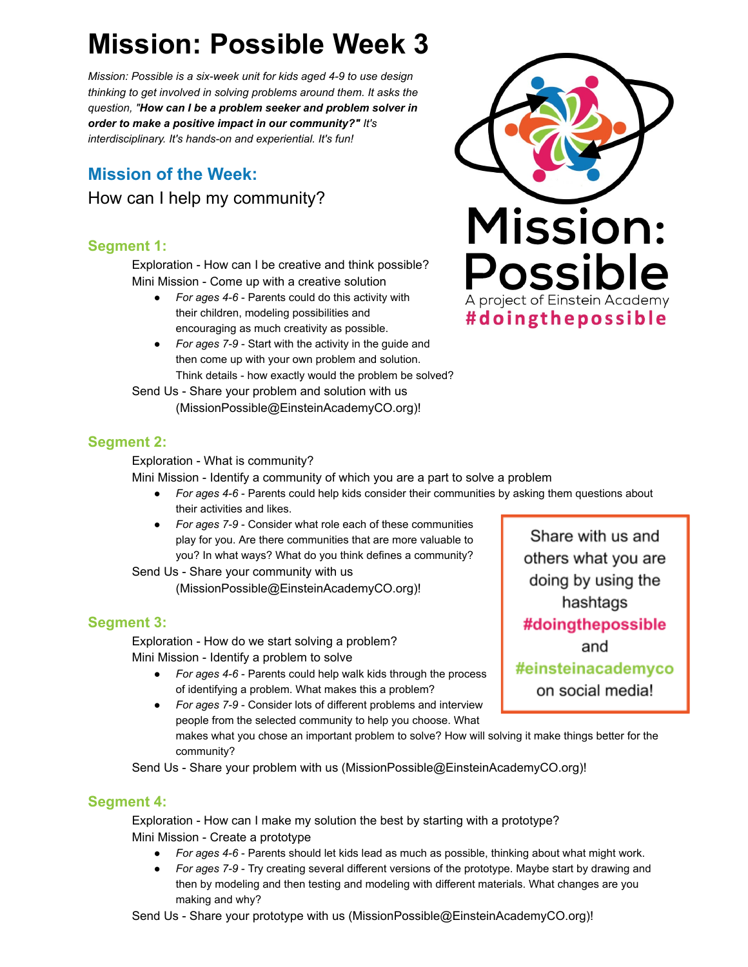# **Mission: Possible Week 3**

*Mission: Possible is a six-week unit for kids aged 4-9 to use design thinking to get involved in solving problems around them. It asks the question, " How can I be a problem seeker and problem solver in order to make a positive impact in our community?" It's interdisciplinary. It's hands-on and experiential. It's fun!* 

## **Mission of the Week:** How can I help my community?

## **Segment 1:**

Exploration - How can I be creative and think possible? Mini Mission - Come up with a creative solution

- For ages 4-6 Parents could do this activity with their children, modeling possibilities and encouraging as much creativity as possible.
- *For ages 7-9*  Start with the activity in the guide and then come up with your own problem and solution. Think details - how exactly would the problem be solved?

Send Us - Share your problem and solution with us (MissionPossible@EinsteinAcademyCO.org)!



## **Segment 2:**

Exploration - What is community?

Mini Mission - Identify a community of which you are a part to solve a problem

- *For ages 4-6*  Parents could help kids consider their communities by asking them questions about their activities and likes.
- *For ages 7-9*  Consider what role each of these communities play for you. Are there communities that are more valuable to you? In what ways? What do you think defines a community?

Send Us - Share your community with us (MissionPossible@EinsteinAcademyCO.org)!

## **Segment 3:**

Exploration - How do we start solving a problem? Mini Mission - Identify a problem to solve

- *For ages 4-6*  Parents could help walk kids through the process of identifying a problem. What makes this a problem?
- *For ages 7-9*  Consider lots of different problems and interview people from the selected community to help you choose. What makes what you chose an important problem to solve? How will solving it make things better for the community?

Send Us - Share your problem with us (MissionPossible@EinsteinAcademyCO.org)!

## **Segment 4:**

Exploration - How can I make my solution the best by starting with a prototype? Mini Mission - Create a prototype

- *For ages 4-6*  Parents should let kids lead as much as possible, thinking about what might work.
- *For ages 7-9*  Try creating several different versions of the prototype. Maybe start by drawing and then by modeling and then testing and modeling with different materials. What changes are you making and why?

Send Us - Share your prototype with us (MissionPossible@EinsteinAcademyCO.org)!

Share with us and others what you are doing by using the hashtags #doingthepossible and #einsteinacademyco on social media!